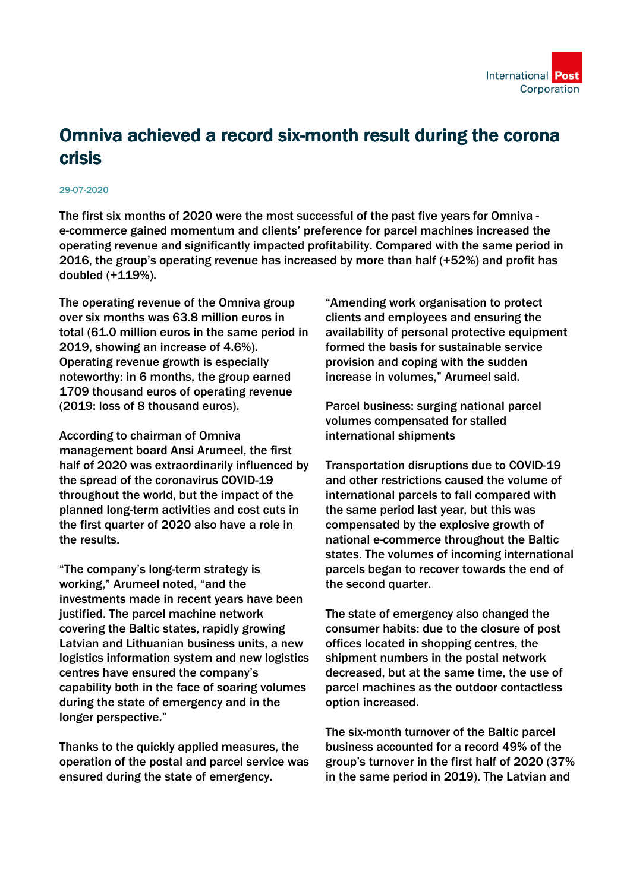

## Omniva achieved a record six-month result during the corona crisis

## 29-07-2020

The first six months of 2020 were the most successful of the past five years for Omniva e-commerce gained momentum and clients' preference for parcel machines increased the operating revenue and significantly impacted profitability. Compared with the same period in 2016, the group's operating revenue has increased by more than half (+52%) and profit has doubled (+119%).

The operating revenue of the Omniva group over six months was 63.8 million euros in total (61.0 million euros in the same period in 2019, showing an increase of 4.6%). Operating revenue growth is especially noteworthy: in 6 months, the group earned 1709 thousand euros of operating revenue (2019: loss of 8 thousand euros).

According to chairman of Omniva management board Ansi Arumeel, the first half of 2020 was extraordinarily influenced by the spread of the coronavirus COVID-19 throughout the world, but the impact of the planned long-term activities and cost cuts in the first quarter of 2020 also have a role in the results.

"The company's long-term strategy is working," Arumeel noted, "and the investments made in recent years have been justified. The parcel machine network covering the Baltic states, rapidly growing Latvian and Lithuanian business units, a new logistics information system and new logistics centres have ensured the company's capability both in the face of soaring volumes during the state of emergency and in the longer perspective."

Thanks to the quickly applied measures, the operation of the postal and parcel service was ensured during the state of emergency.

"Amending work organisation to protect clients and employees and ensuring the availability of personal protective equipment formed the basis for sustainable service provision and coping with the sudden increase in volumes," Arumeel said.

Parcel business: surging national parcel volumes compensated for stalled international shipments

Transportation disruptions due to COVID-19 and other restrictions caused the volume of international parcels to fall compared with the same period last year, but this was compensated by the explosive growth of national e-commerce throughout the Baltic states. The volumes of incoming international parcels began to recover towards the end of the second quarter.

The state of emergency also changed the consumer habits: due to the closure of post offices located in shopping centres, the shipment numbers in the postal network decreased, but at the same time, the use of parcel machines as the outdoor contactless option increased.

The six-month turnover of the Baltic parcel business accounted for a record 49% of the group's turnover in the first half of 2020 (37% in the same period in 2019). The Latvian and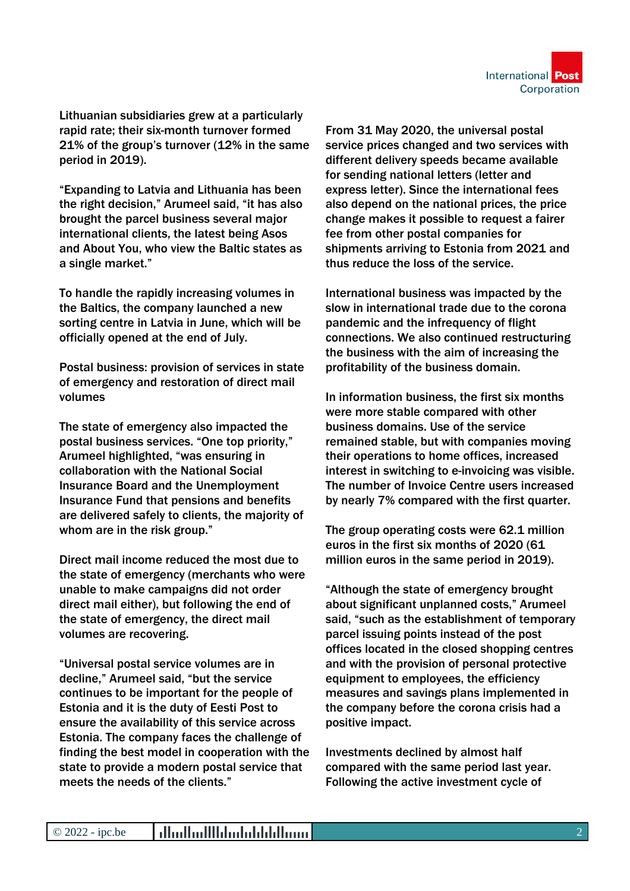

Lithuanian subsidiaries grew at a particularly rapid rate; their six-month turnover formed 21% of the group's turnover (12% in the same period in 2019).

"Expanding to Latvia and Lithuania has been the right decision," Arumeel said, "it has also brought the parcel business several major international clients, the latest being Asos and About You, who view the Baltic states as a single market."

To handle the rapidly increasing volumes in the Baltics, the company launched a new sorting centre in Latvia in June, which will be officially opened at the end of July.

Postal business: provision of services in state of emergency and restoration of direct mail volumes

The state of emergency also impacted the postal business services. "One top priority," Arumeel highlighted, "was ensuring in collaboration with the National Social Insurance Board and the Unemployment Insurance Fund that pensions and benefits are delivered safely to clients, the majority of whom are in the risk group."

Direct mail income reduced the most due to the state of emergency (merchants who were unable to make campaigns did not order direct mail either), but following the end of the state of emergency, the direct mail volumes are recovering.

"Universal postal service volumes are in decline," Arumeel said, "but the service continues to be important for the people of Estonia and it is the duty of Eesti Post to ensure the availability of this service across Estonia. The company faces the challenge of finding the best model in cooperation with the state to provide a modern postal service that meets the needs of the clients."

From 31 May 2020, the universal postal service prices changed and two services with different delivery speeds became available for sending national letters (letter and express letter). Since the international fees also depend on the national prices, the price change makes it possible to request a fairer fee from other postal companies for shipments arriving to Estonia from 2021 and thus reduce the loss of the service.

International business was impacted by the slow in international trade due to the corona pandemic and the infrequency of flight connections. We also continued restructuring the business with the aim of increasing the profitability of the business domain.

In information business, the first six months were more stable compared with other business domains. Use of the service remained stable, but with companies moving their operations to home offices, increased interest in switching to e-invoicing was visible. The number of Invoice Centre users increased by nearly 7% compared with the first quarter.

The group operating costs were 62.1 million euros in the first six months of 2020 (61 million euros in the same period in 2019).

"Although the state of emergency brought about significant unplanned costs," Arumeel said, "such as the establishment of temporary parcel issuing points instead of the post offices located in the closed shopping centres and with the provision of personal protective equipment to employees, the efficiency measures and savings plans implemented in the company before the corona crisis had a positive impact.

Investments declined by almost half compared with the same period last year. Following the active investment cycle of